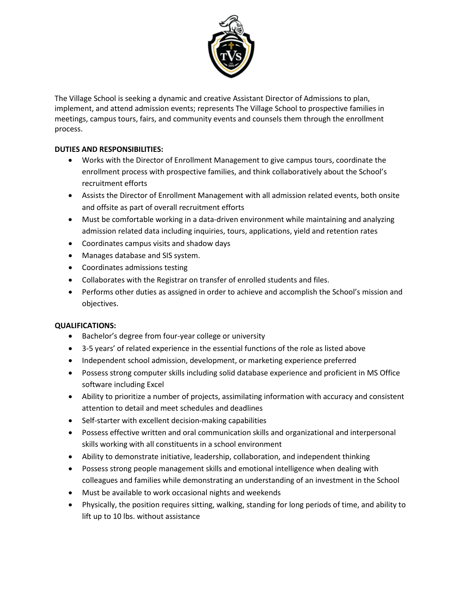

The Village School is seeking a dynamic and creative Assistant Director of Admissions to plan, implement, and attend admission events; represents The Village School to prospective families in meetings, campus tours, fairs, and community events and counsels them through the enrollment process.

# **DUTIES AND RESPONSIBILITIES:**

- Works with the Director of Enrollment Management to give campus tours, coordinate the enrollment process with prospective families, and think collaboratively about the School's recruitment efforts
- Assists the Director of Enrollment Management with all admission related events, both onsite and offsite as part of overall recruitment efforts
- Must be comfortable working in a data-driven environment while maintaining and analyzing admission related data including inquiries, tours, applications, yield and retention rates
- Coordinates campus visits and shadow days
- Manages database and SIS system.
- Coordinates admissions testing
- Collaborates with the Registrar on transfer of enrolled students and files.
- Performs other duties as assigned in order to achieve and accomplish the School's mission and objectives.

# **QUALIFICATIONS:**

- Bachelor's degree from four-year college or university
- 3-5 years' of related experience in the essential functions of the role as listed above
- Independent school admission, development, or marketing experience preferred
- Possess strong computer skills including solid database experience and proficient in MS Office software including Excel
- Ability to prioritize a number of projects, assimilating information with accuracy and consistent attention to detail and meet schedules and deadlines
- Self-starter with excellent decision-making capabilities
- Possess effective written and oral communication skills and organizational and interpersonal skills working with all constituents in a school environment
- Ability to demonstrate initiative, leadership, collaboration, and independent thinking
- Possess strong people management skills and emotional intelligence when dealing with
- colleagues and families while demonstrating an understanding of an investment in the School
- Must be available to work occasional nights and weekends
- Physically, the position requires sitting, walking, standing for long periods of time, and ability to lift up to 10 lbs. without assistance